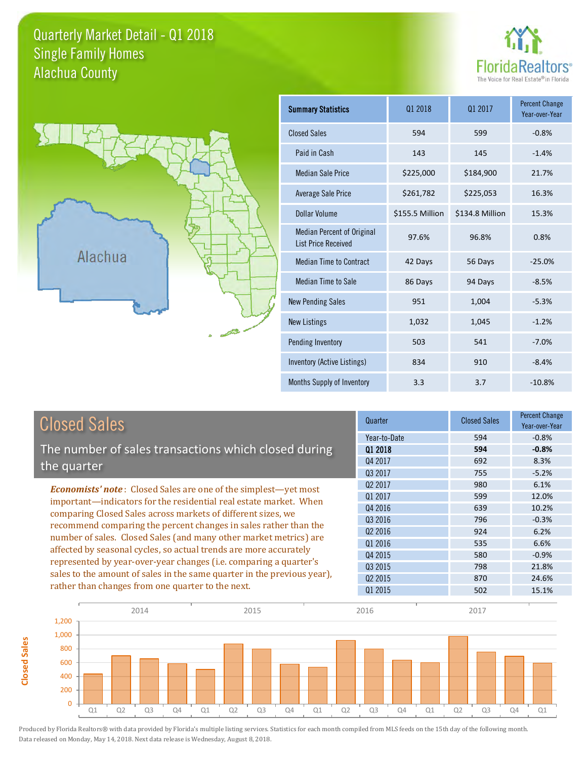## Quarterly Market Detail - Q1 2018 Alachua County Single Family Homes





**Closed Sales**

**Closed Sales** 

| <b>Summary Statistics</b>                                       | 01 2018         | 01 2017         | <b>Percent Change</b><br>Year-over-Year |
|-----------------------------------------------------------------|-----------------|-----------------|-----------------------------------------|
| <b>Closed Sales</b>                                             | 594             | 599             | $-0.8%$                                 |
| Paid in Cash                                                    | 143             | 145             | $-1.4%$                                 |
| <b>Median Sale Price</b>                                        | \$225,000       | \$184,900       | 21.7%                                   |
| <b>Average Sale Price</b>                                       | \$261,782       | \$225,053       | 16.3%                                   |
| Dollar Volume                                                   | \$155.5 Million | \$134.8 Million | 15.3%                                   |
| <b>Median Percent of Original</b><br><b>List Price Received</b> | 97.6%           | 96.8%           | 0.8%                                    |
| <b>Median Time to Contract</b>                                  | 42 Days         | 56 Days         | $-25.0%$                                |
| <b>Median Time to Sale</b>                                      | 86 Days         | 94 Days         | $-8.5%$                                 |
| <b>New Pending Sales</b>                                        | 951             | 1,004           | $-5.3%$                                 |
| <b>New Listings</b>                                             | 1,032           | 1,045           | $-1.2%$                                 |
| Pending Inventory                                               | 503             | 541             | $-7.0%$                                 |
| Inventory (Active Listings)                                     | 834             | 910             | $-8.4%$                                 |
| Months Supply of Inventory                                      | 3.3             | 3.7             | $-10.8%$                                |

| <b>Closed Sales</b>                                                                                                                                                                                   | Quarter             | <b>Closed Sales</b> | <b>Percent Change</b><br>Year-over-Year |
|-------------------------------------------------------------------------------------------------------------------------------------------------------------------------------------------------------|---------------------|---------------------|-----------------------------------------|
|                                                                                                                                                                                                       | Year-to-Date        | 594                 | $-0.8%$                                 |
| The number of sales transactions which closed during                                                                                                                                                  | 01 2018             | 594                 | $-0.8%$                                 |
| the quarter                                                                                                                                                                                           | Q4 2017             | 692                 | 8.3%                                    |
|                                                                                                                                                                                                       | Q3 2017             | 755                 | $-5.2%$                                 |
| <b>Economists' note:</b> Closed Sales are one of the simplest—yet most                                                                                                                                | Q <sub>2</sub> 2017 | 980                 | 6.1%                                    |
| important-indicators for the residential real estate market. When                                                                                                                                     | 01 2017             | 599                 | 12.0%                                   |
| comparing Closed Sales across markets of different sizes, we<br>recommend comparing the percent changes in sales rather than the<br>number of sales. Closed Sales (and many other market metrics) are | Q4 2016             | 639                 | 10.2%                                   |
|                                                                                                                                                                                                       | 03 2016             | 796                 | $-0.3%$                                 |
|                                                                                                                                                                                                       | Q <sub>2</sub> 2016 | 924                 | 6.2%                                    |
|                                                                                                                                                                                                       | 01 2016             | 535                 | 6.6%                                    |
| affected by seasonal cycles, so actual trends are more accurately                                                                                                                                     | Q4 2015             | 580                 | $-0.9%$                                 |
| represented by year-over-year changes (i.e. comparing a quarter's                                                                                                                                     | 03 2015             | 798                 | 21.8%                                   |
| sales to the amount of sales in the same quarter in the previous year),                                                                                                                               | 02 2015             | 870                 | 24.6%                                   |
| rather than changes from one quarter to the next.                                                                                                                                                     | Q1 2015             | 502                 | 15.1%                                   |

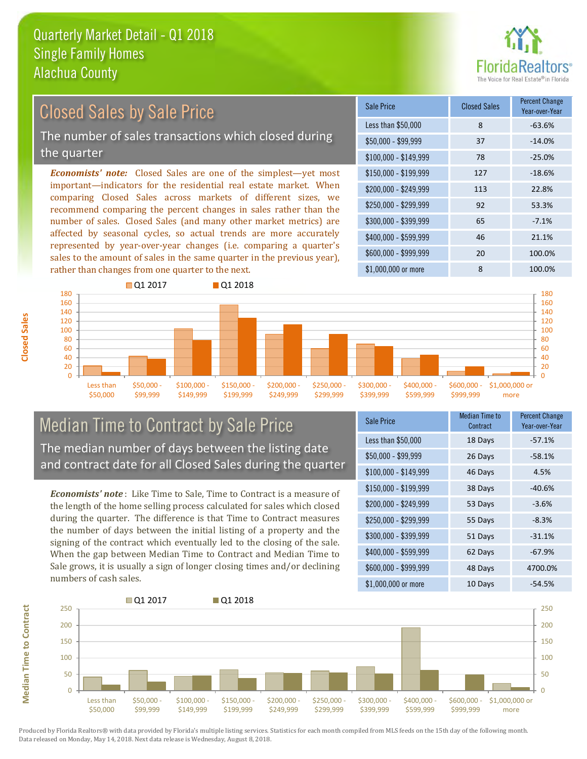

## Closed Sales by Sale Price

The number of sales transactions which closed during the quarter

*Economists' note:* Closed Sales are one of the simplest—yet most important—indicators for the residential real estate market. When comparing Closed Sales across markets of different sizes, we recommend comparing the percent changes in sales rather than the number of sales. Closed Sales (and many other market metrics) are affected by seasonal cycles, so actual trends are more accurately represented by year-over-year changes (i.e. comparing a quarter's sales to the amount of sales in the same quarter in the previous year), rather than changes from one quarter to the next.

| Sale Price            | <b>Closed Sales</b> | <b>Percent Change</b><br>Year-over-Year |
|-----------------------|---------------------|-----------------------------------------|
| Less than \$50,000    | 8                   | $-63.6%$                                |
| $$50,000 - $99,999$   | 37                  | $-14.0%$                                |
| $$100,000 - $149,999$ | 78                  | $-25.0%$                                |
| $$150,000 - $199,999$ | 127                 | $-18.6%$                                |
| \$200,000 - \$249,999 | 113                 | 22.8%                                   |
| \$250,000 - \$299,999 | 92                  | 53.3%                                   |
| \$300,000 - \$399,999 | 65                  | $-7.1%$                                 |
| \$400,000 - \$599,999 | 46                  | 21.1%                                   |
| \$600,000 - \$999,999 | 20                  | 100.0%                                  |
| \$1,000,000 or more   | 8                   | 100.0%                                  |



### Median Time to Contract by Sale Price The median number of days between the listing date and contract date for all Closed Sales during the quarter

*Economists' note* : Like Time to Sale, Time to Contract is a measure of the length of the home selling process calculated for sales which closed during the quarter. The difference is that Time to Contract measures the number of days between the initial listing of a property and the signing of the contract which eventually led to the closing of the sale. When the gap between Median Time to Contract and Median Time to Sale grows, it is usually a sign of longer closing times and/or declining numbers of cash sales.

| Sale Price            | Median Time to<br>Contract | <b>Percent Change</b><br>Year-over-Year |
|-----------------------|----------------------------|-----------------------------------------|
| Less than \$50,000    | 18 Days                    | $-57.1%$                                |
| $$50,000 - $99,999$   | 26 Days                    | $-58.1%$                                |
| $$100,000 - $149,999$ | 46 Days                    | 4.5%                                    |
| $$150,000 - $199,999$ | 38 Days                    | $-40.6%$                                |
| \$200,000 - \$249,999 | 53 Days                    | $-3.6%$                                 |
| \$250,000 - \$299,999 | 55 Days                    | $-8.3%$                                 |
| \$300,000 - \$399,999 | 51 Days                    | $-31.1%$                                |
| \$400,000 - \$599,999 | 62 Days                    | $-67.9%$                                |
| \$600,000 - \$999,999 | 48 Days                    | 4700.0%                                 |
| \$1,000,000 or more   | 10 Days                    | $-54.5%$                                |

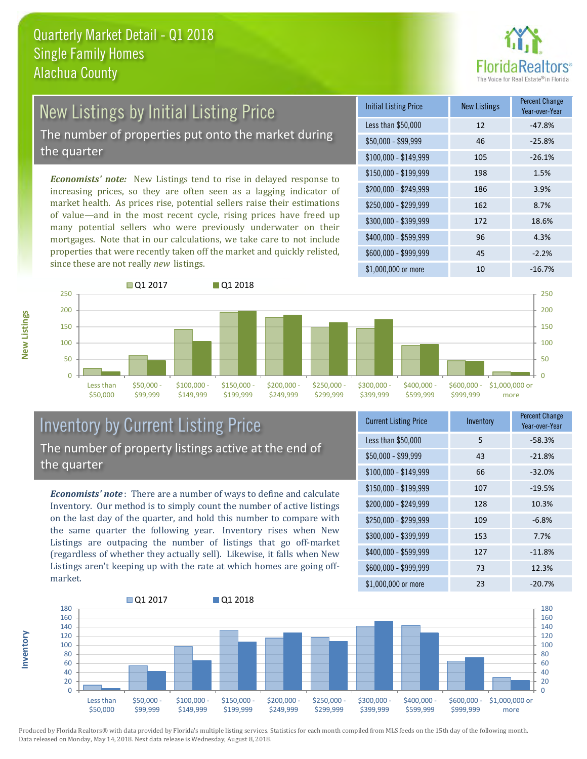

# New Listings by Initial Listing Price

The number of properties put onto the market during the quarter

*Economists' note:* New Listings tend to rise in delayed response to increasing prices, so they are often seen as a lagging indicator of market health. As prices rise, potential sellers raise their estimations of value—and in the most recent cycle, rising prices have freed up many potential sellers who were previously underwater on their mortgages. Note that in our calculations, we take care to not include properties that were recently taken off the market and quickly relisted, since these are not really *new* listings.

| <b>Initial Listing Price</b> | <b>New Listings</b> | <b>Percent Change</b><br>Year-over-Year |
|------------------------------|---------------------|-----------------------------------------|
| Less than \$50,000           | 12                  | $-47.8%$                                |
| \$50,000 - \$99,999          | 46                  | $-25.8%$                                |
| $$100,000 - $149,999$        | 105                 | $-26.1%$                                |
| \$150,000 - \$199,999        | 198                 | 1.5%                                    |
| \$200,000 - \$249,999        | 186                 | 3.9%                                    |
| \$250,000 - \$299,999        | 162                 | 8.7%                                    |
| \$300,000 - \$399,999        | 172                 | 18.6%                                   |
| \$400,000 - \$599,999        | 96                  | 4.3%                                    |
| \$600,000 - \$999,999        | 45                  | $-2.2%$                                 |
| \$1,000,000 or more          | 10                  | $-16.7%$                                |



## Inventory by Current Listing Price The number of property listings active at the end of the quarter

*Economists' note* : There are a number of ways to define and calculate Inventory. Our method is to simply count the number of active listings on the last day of the quarter, and hold this number to compare with the same quarter the following year. Inventory rises when New Listings are outpacing the number of listings that go off-market (regardless of whether they actually sell). Likewise, it falls when New Listings aren't keeping up with the rate at which homes are going offmarket.

| <b>Current Listing Price</b> | Inventory | <b>Percent Change</b><br>Year-over-Year |
|------------------------------|-----------|-----------------------------------------|
| Less than \$50,000           | 5         | $-58.3%$                                |
| $$50,000 - $99,999$          | 43        | $-21.8%$                                |
| $$100,000 - $149,999$        | 66        | $-32.0%$                                |
| $$150,000 - $199,999$        | 107       | $-19.5%$                                |
| \$200,000 - \$249,999        | 128       | 10.3%                                   |
| \$250,000 - \$299,999        | 109       | $-6.8%$                                 |
| \$300,000 - \$399,999        | 153       | 7.7%                                    |
| \$400,000 - \$599,999        | 127       | $-11.8%$                                |
| \$600,000 - \$999,999        | 73        | 12.3%                                   |
| \$1,000,000 or more          | 23        | $-20.7%$                                |



Produced by Florida Realtors® with data provided by Florida's multiple listing services. Statistics for each month compiled from MLS feeds on the 15th day of the following month. Data released on Monday, May 14, 2018. Next data release is Wednesday, August 8, 2018.

**Inventory**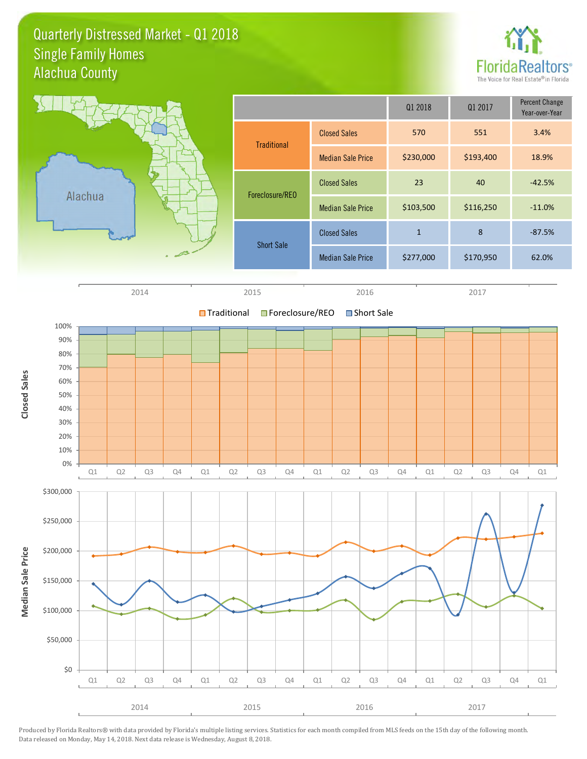## Quarterly Distressed Market - Q1 2018 Alachua County Single Family Homes





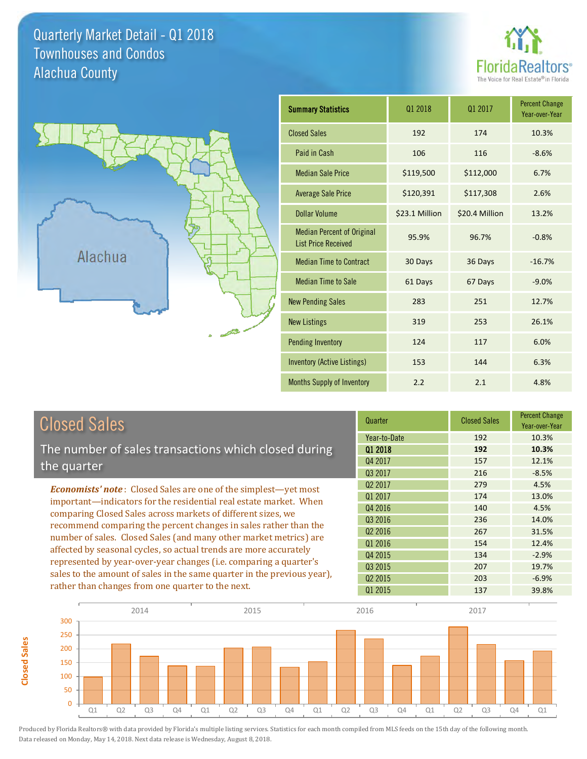## Quarterly Market Detail - Q1 2018 Alachua County Townhouses and Condos





**Closed Sales**

**Closed Sales** 

| <b>Summary Statistics</b>                                       | 01 2018        | 01 2017        | <b>Percent Change</b><br>Year-over-Year |
|-----------------------------------------------------------------|----------------|----------------|-----------------------------------------|
| <b>Closed Sales</b>                                             | 192            | 174            | 10.3%                                   |
| Paid in Cash                                                    | 106            | 116            | $-8.6%$                                 |
| <b>Median Sale Price</b>                                        | \$119,500      | \$112,000      | 6.7%                                    |
| <b>Average Sale Price</b>                                       | \$120,391      | \$117,308      | 2.6%                                    |
| <b>Dollar Volume</b>                                            | \$23.1 Million | \$20.4 Million | 13.2%                                   |
| <b>Median Percent of Original</b><br><b>List Price Received</b> | 95.9%          | 96.7%          | $-0.8%$                                 |
| <b>Median Time to Contract</b>                                  | 30 Days        | 36 Days        | $-16.7%$                                |
| <b>Median Time to Sale</b>                                      | 61 Days        | 67 Days        | $-9.0%$                                 |
| <b>New Pending Sales</b>                                        | 283            | 251            | 12.7%                                   |
| <b>New Listings</b>                                             | 319            | 253            | 26.1%                                   |
| <b>Pending Inventory</b>                                        | 124            | 117            | 6.0%                                    |
| Inventory (Active Listings)                                     | 153            | 144            | 6.3%                                    |
| Months Supply of Inventory                                      | 2.2            | 2.1            | 4.8%                                    |

| <b>Closed Sales</b>                                                                                                                                                                                   | Quarter             | <b>Closed Sales</b> | <b>Percent Change</b><br>Year-over-Year |
|-------------------------------------------------------------------------------------------------------------------------------------------------------------------------------------------------------|---------------------|---------------------|-----------------------------------------|
|                                                                                                                                                                                                       | Year-to-Date        | 192                 | 10.3%                                   |
| The number of sales transactions which closed during                                                                                                                                                  | 01 2018             | 192                 | 10.3%                                   |
| the quarter                                                                                                                                                                                           | Q4 2017             | 157                 | 12.1%                                   |
|                                                                                                                                                                                                       | 03 2017             | 216                 | $-8.5%$                                 |
| <b>Economists' note:</b> Closed Sales are one of the simplest—yet most                                                                                                                                | Q <sub>2</sub> 2017 | 279                 | 4.5%                                    |
| important—indicators for the residential real estate market. When                                                                                                                                     | Q1 2017             | 174                 | 13.0%                                   |
| comparing Closed Sales across markets of different sizes, we<br>recommend comparing the percent changes in sales rather than the<br>number of sales. Closed Sales (and many other market metrics) are | Q4 2016             | 140                 | 4.5%                                    |
|                                                                                                                                                                                                       | Q3 2016             | 236                 | 14.0%                                   |
|                                                                                                                                                                                                       | Q <sub>2</sub> 2016 | 267                 | 31.5%                                   |
| affected by seasonal cycles, so actual trends are more accurately                                                                                                                                     | Q1 2016             | 154                 | 12.4%                                   |
|                                                                                                                                                                                                       | Q4 2015             | 134                 | $-2.9%$                                 |
| represented by year-over-year changes (i.e. comparing a quarter's                                                                                                                                     | Q3 2015             | 207                 | 19.7%                                   |
| sales to the amount of sales in the same quarter in the previous year),                                                                                                                               | 02 2015             | 203                 | $-6.9%$                                 |
| rather than changes from one quarter to the next.                                                                                                                                                     | Q1 2015             | 137                 | 39.8%                                   |

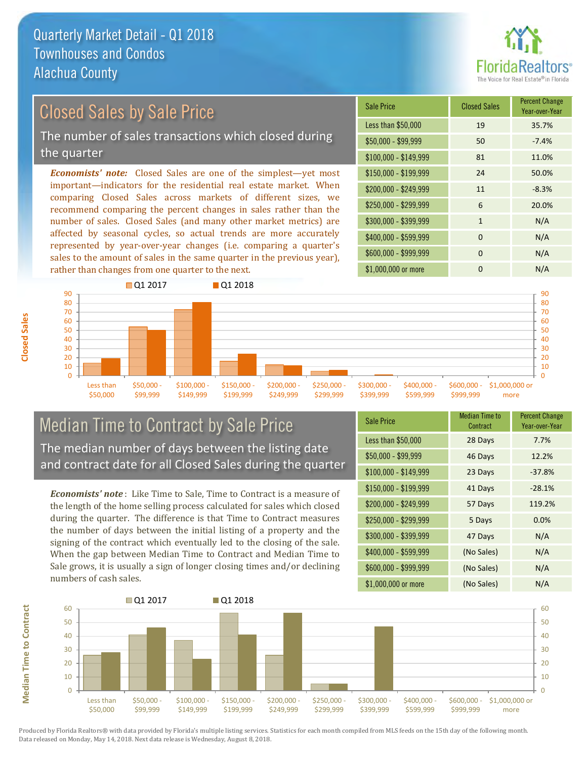

#### \$100,000 - \$149,999 81 11.0% Sale Price Closed Sales Percent Change Year-over-Year Less than \$50,000 19 35.7% \$50,000 - \$99,999 50 -7.4% \$150,000 - \$199,999 24 50.0%  $$200,000 - $249,999$  11  $-8.3\%$ *Economists' note:* Closed Sales are one of the simplest—yet most important—indicators for the residential real estate market. When comparing Closed Sales across markets of different sizes, we recommend comparing the percent changes in sales rather than the number of sales. Closed Sales (and many other market metrics) are \$250,000 - \$299,999 6 20.0%  $$300,000 - $399,999$  1 N/A Closed Sales by Sale Price The number of sales transactions which closed during the quarter

affected by seasonal cycles, so actual trends are more accurately represented by year-over-year changes (i.e. comparing a quarter's sales to the amount of sales in the same quarter in the previous year), rather than changes from one quarter to the next.





#### Median Time to Contract by Sale Price The median number of days between the listing date and contract date for all Closed Sales during the quarter

*Economists' note* : Like Time to Sale, Time to Contract is a measure of the length of the home selling process calculated for sales which closed during the quarter. The difference is that Time to Contract measures the number of days between the initial listing of a property and the signing of the contract which eventually led to the closing of the sale. When the gap between Median Time to Contract and Median Time to Sale grows, it is usually a sign of longer closing times and/or declining numbers of cash sales.

| <b>Sale Price</b>     | <b>Median Time to</b><br>Contract | <b>Percent Change</b><br>Year-over-Year |
|-----------------------|-----------------------------------|-----------------------------------------|
| Less than \$50,000    | 28 Days                           | 7.7%                                    |
| $$50,000 - $99,999$   | 46 Days                           | 12.2%                                   |
| $$100,000 - $149,999$ | 23 Days                           | $-37.8%$                                |
| \$150,000 - \$199,999 | 41 Days                           | $-28.1%$                                |
| \$200,000 - \$249,999 | 57 Days                           | 119.2%                                  |
| \$250,000 - \$299,999 | 5 Days                            | 0.0%                                    |
| \$300,000 - \$399,999 | 47 Days                           | N/A                                     |
| \$400,000 - \$599,999 | (No Sales)                        | N/A                                     |
| \$600,000 - \$999,999 | (No Sales)                        | N/A                                     |
| \$1,000,000 or more   | (No Sales)                        | N/A                                     |



Produced by Florida Realtors® with data provided by Florida's multiple listing services. Statistics for each month compiled from MLS feeds on the 15th day of the following month. Data released on Monday, May 14, 2018. Next data release is Wednesday, August 8, 2018.

**Median Time to Contract**

**Median Time to Contract**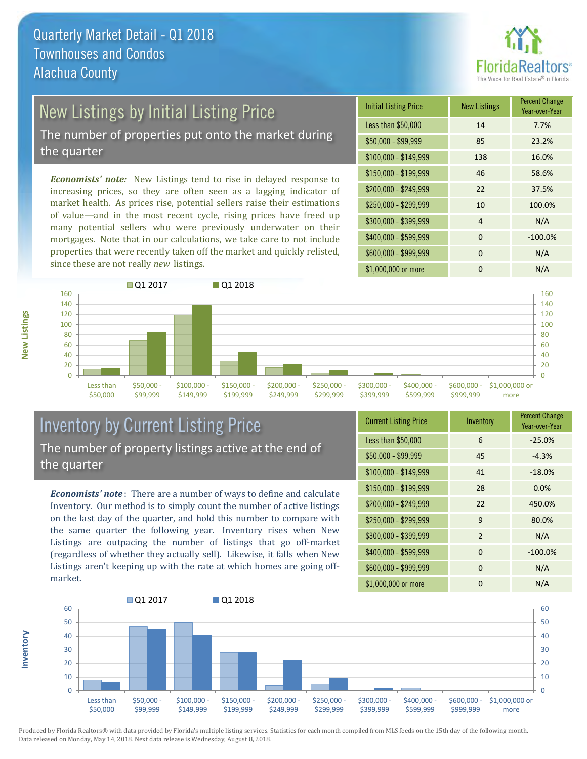

## New Listings by Initial Listing Price

The number of properties put onto the market during the quarter

*Economists' note:* New Listings tend to rise in delayed response to increasing prices, so they are often seen as a lagging indicator of market health. As prices rise, potential sellers raise their estimations of value—and in the most recent cycle, rising prices have freed up many potential sellers who were previously underwater on their mortgages. Note that in our calculations, we take care to not include properties that were recently taken off the market and quickly relisted, since these are not really *new* listings.

| <b>Initial Listing Price</b> | <b>New Listings</b> | <b>Percent Change</b><br>Year-over-Year |
|------------------------------|---------------------|-----------------------------------------|
| Less than \$50,000           | 14                  | 7.7%                                    |
| \$50,000 - \$99,999          | 85                  | 23.2%                                   |
| $$100,000 - $149,999$        | 138                 | 16.0%                                   |
| $$150,000 - $199,999$        | 46                  | 58.6%                                   |
| \$200,000 - \$249,999        | 22                  | 37.5%                                   |
| \$250,000 - \$299,999        | 10                  | 100.0%                                  |
| \$300,000 - \$399,999        | 4                   | N/A                                     |
| \$400,000 - \$599,999        | $\Omega$            | $-100.0%$                               |
| \$600,000 - \$999,999        | $\Omega$            | N/A                                     |
| \$1,000,000 or more          | ŋ                   | N/A                                     |



## Inventory by Current Listing Price The number of property listings active at the end of the quarter

*Economists' note* : There are a number of ways to define and calculate Inventory. Our method is to simply count the number of active listings on the last day of the quarter, and hold this number to compare with the same quarter the following year. Inventory rises when New Listings are outpacing the number of listings that go off-market (regardless of whether they actually sell). Likewise, it falls when New Listings aren't keeping up with the rate at which homes are going offmarket.

| <b>Current Listing Price</b> | Inventory      | <b>Percent Change</b><br>Year-over-Year |
|------------------------------|----------------|-----------------------------------------|
| Less than \$50,000           | 6              | $-25.0%$                                |
| $$50,000 - $99,999$          | 45             | $-4.3%$                                 |
| $$100,000 - $149,999$        | 41             | $-18.0%$                                |
| \$150,000 - \$199,999        | 28             | 0.0%                                    |
| \$200,000 - \$249,999        | 22             | 450.0%                                  |
| \$250,000 - \$299,999        | 9              | 80.0%                                   |
| \$300,000 - \$399,999        | $\overline{2}$ | N/A                                     |
| \$400,000 - \$599,999        | $\mathbf 0$    | $-100.0%$                               |
| \$600,000 - \$999,999        | $\Omega$       | N/A                                     |
| \$1,000,000 or more          | 0              | N/A                                     |



Produced by Florida Realtors® with data provided by Florida's multiple listing services. Statistics for each month compiled from MLS feeds on the 15th day of the following month. Data released on Monday, May 14, 2018. Next data release is Wednesday, August 8, 2018.

**Inventory**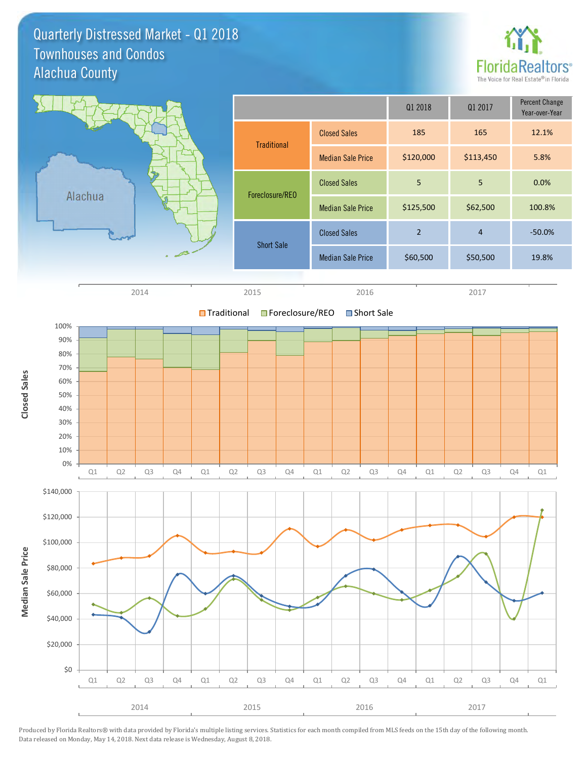Quarterly Distressed Market - Q1 2018 Alachua County Townhouses and Condos



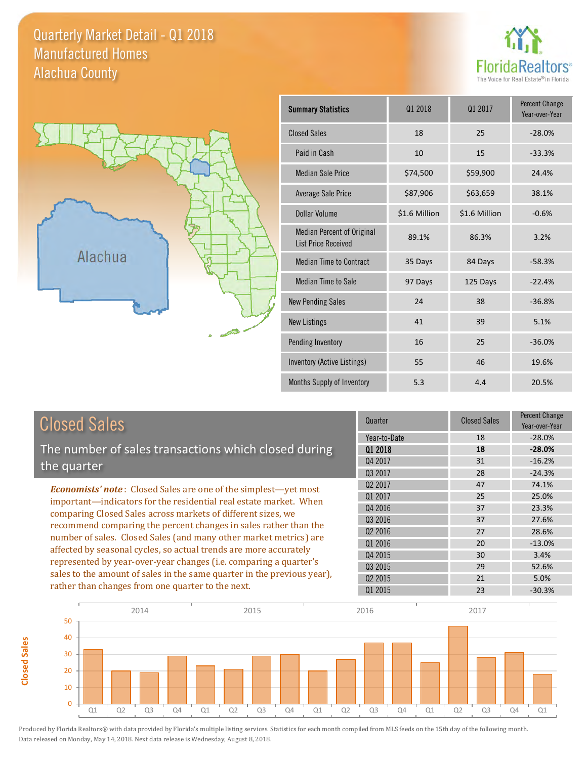## Quarterly Market Detail - Q1 2018 Alachua County Manufactured Homes





**Closed Sales**

**Closed Sales** 

| <b>Summary Statistics</b>                                       | 01 2018       | 01 2017       | <b>Percent Change</b><br>Year-over-Year |
|-----------------------------------------------------------------|---------------|---------------|-----------------------------------------|
| <b>Closed Sales</b>                                             | 18            | 25            | $-28.0%$                                |
| Paid in Cash                                                    | 10            | 15            | $-33.3%$                                |
| <b>Median Sale Price</b>                                        | \$74,500      | \$59,900      | 24.4%                                   |
| <b>Average Sale Price</b>                                       | \$87,906      | \$63,659      | 38.1%                                   |
| <b>Dollar Volume</b>                                            | \$1.6 Million | \$1.6 Million | $-0.6%$                                 |
| <b>Median Percent of Original</b><br><b>List Price Received</b> | 89.1%         | 86.3%         | 3.2%                                    |
| <b>Median Time to Contract</b>                                  | 35 Days       | 84 Days       | $-58.3%$                                |
| <b>Median Time to Sale</b>                                      | 97 Days       | 125 Days      | $-22.4%$                                |
| <b>New Pending Sales</b>                                        | 24            | 38            | $-36.8%$                                |
| <b>New Listings</b>                                             | 41            | 39            | 5.1%                                    |
| Pending Inventory                                               | 16            | 25            | $-36.0%$                                |
| Inventory (Active Listings)                                     | 55            | 46            | 19.6%                                   |
| Months Supply of Inventory                                      | 5.3           | 4.4           | 20.5%                                   |

| <b>Closed Sales</b>                                                     | Quarter      | <b>Closed Sales</b> | <b>Percent Change</b><br>Year-over-Year |
|-------------------------------------------------------------------------|--------------|---------------------|-----------------------------------------|
|                                                                         | Year-to-Date | 18                  | $-28.0%$                                |
| The number of sales transactions which closed during                    | 01 2018      | 18                  | $-28.0%$                                |
| the quarter                                                             | Q4 2017      | 31                  | $-16.2%$                                |
|                                                                         | 03 2017      | 28                  | $-24.3%$                                |
| <b>Economists' note:</b> Closed Sales are one of the simplest-yet most  | 02 2017      | 47                  | 74.1%                                   |
| important—indicators for the residential real estate market. When       | Q1 2017      | 25                  | 25.0%                                   |
| comparing Closed Sales across markets of different sizes, we            | Q4 2016      | 37                  | 23.3%                                   |
| recommend comparing the percent changes in sales rather than the        | Q3 2016      | 37                  | 27.6%                                   |
|                                                                         | 02 2016      | 27                  | 28.6%                                   |
| number of sales. Closed Sales (and many other market metrics) are       | 01 2016      | 20                  | $-13.0%$                                |
| affected by seasonal cycles, so actual trends are more accurately       | Q4 2015      | 30                  | 3.4%                                    |
| represented by year-over-year changes (i.e. comparing a quarter's       | Q3 2015      | 29                  | 52.6%                                   |
| sales to the amount of sales in the same quarter in the previous year), | 02 2015      | 21                  | 5.0%                                    |
| rather than changes from one quarter to the next.                       | Q1 2015      | 23                  | $-30.3%$                                |

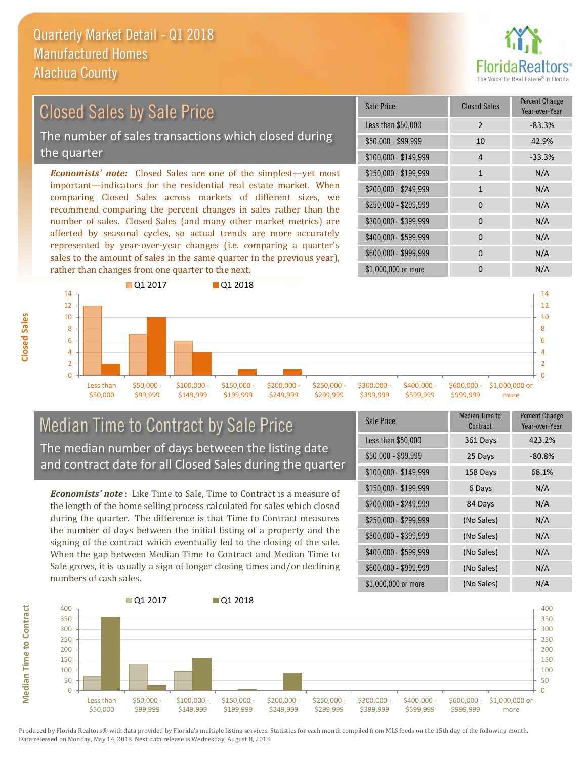

## Closed Sales by Sale Price

The number of sales transactions which closed during the quarter

*Economists' note:* Closed Sales are one of the simplest—yet most important—indicators for the residential real estate market. When comparing Closed Sales across markets of different sizes, we recommend comparing the percent changes in sales rather than the number of sales. Closed Sales (and many other market metrics) are affected by seasonal cycles, so actual trends are more accurately represented by year-over-year changes (i.e. comparing a quarter's sales to the amount of sales in the same quarter in the previous year), rather than changes from one quarter to the next.

| Sale Price            | <b>Closed Sales</b> | <b>Percent Change</b><br>Year-over-Year |
|-----------------------|---------------------|-----------------------------------------|
| Less than \$50,000    | $\overline{2}$      | $-83.3%$                                |
| \$50,000 - \$99,999   | 10                  | 42.9%                                   |
| $$100,000 - $149,999$ | $\overline{4}$      | $-33.3%$                                |
| $$150,000 - $199,999$ | $\mathbf{1}$        | N/A                                     |
| \$200,000 - \$249,999 | 1                   | N/A                                     |
| \$250,000 - \$299,999 | $\Omega$            | N/A                                     |
| \$300,000 - \$399,999 | $\Omega$            | N/A                                     |
| \$400,000 - \$599,999 | $\Omega$            | N/A                                     |
| \$600,000 - \$999,999 | $\Omega$            | N/A                                     |
| \$1,000,000 or more   | ŋ                   | N/A                                     |



## Median Time to Contract by Sale Price The median number of days between the listing date and contract date for all Closed Sales during the quarter

*Economists' note* : Like Time to Sale, Time to Contract is a measure of the length of the home selling process calculated for sales which closed during the quarter. The difference is that Time to Contract measures the number of days between the initial listing of a property and the signing of the contract which eventually led to the closing of the sale. When the gap between Median Time to Contract and Median Time to Sale grows, it is usually a sign of longer closing times and/or declining numbers of cash sales.

| Sale Price            | <b>Median Time to</b><br>Contract | <b>Percent Change</b><br>Year-over-Year |
|-----------------------|-----------------------------------|-----------------------------------------|
| Less than \$50,000    | 361 Days                          | 423.2%                                  |
| \$50,000 - \$99,999   | 25 Days                           | $-80.8%$                                |
| $$100,000 - $149,999$ | 158 Days                          | 68.1%                                   |
| $$150,000 - $199,999$ | 6 Days                            | N/A                                     |
| \$200,000 - \$249,999 | 84 Days                           | N/A                                     |
| \$250,000 - \$299,999 | (No Sales)                        | N/A                                     |
| \$300,000 - \$399,999 | (No Sales)                        | N/A                                     |
| \$400,000 - \$599,999 | (No Sales)                        | N/A                                     |
| \$600,000 - \$999,999 | (No Sales)                        | N/A                                     |
| \$1,000,000 or more   | (No Sales)                        | N/A                                     |



Produced by Florida Realtors® with data provided by Florida's multiple listing services. Statistics for each month compiled from MLS feeds on the 15th day of the following month. Data released on Monday, May 14, 2018. Next data release is Wednesday, August 8, 2018.

**Median Time to Contract**

**Median Time to Contract**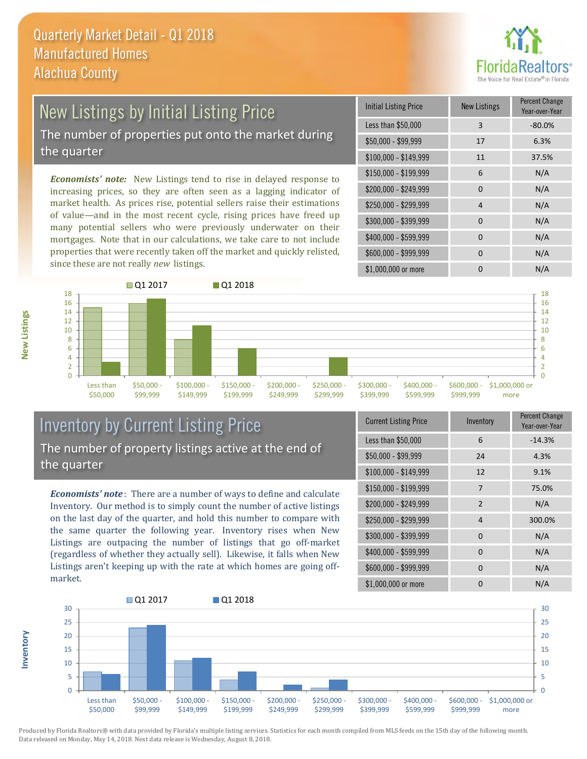

## New Listings by Initial Listing Price

The number of properties put onto the market during the quarter

*Economists' note:* New Listings tend to rise in delayed response to increasing prices, so they are often seen as a lagging indicator of market health. As prices rise, potential sellers raise their estimations of value—and in the most recent cycle, rising prices have freed up many potential sellers who were previously underwater on their mortgages. Note that in our calculations, we take care to not include properties that were recently taken off the market and quickly relisted, since these are not really *new* listings.

| <b>Initial Listing Price</b> | <b>New Listings</b> | <b>Percent Change</b><br>Year-over-Year |
|------------------------------|---------------------|-----------------------------------------|
| Less than \$50,000           | 3                   | $-80.0%$                                |
| $$50,000 - $99,999$          | 17                  | 6.3%                                    |
| $$100,000 - $149,999$        | 11                  | 37.5%                                   |
| \$150,000 - \$199,999        | 6                   | N/A                                     |
| \$200,000 - \$249,999        | $\Omega$            | N/A                                     |
| \$250,000 - \$299,999        | 4                   | N/A                                     |
| \$300,000 - \$399,999        | 0                   | N/A                                     |
| \$400,000 - \$599,999        | $\Omega$            | N/A                                     |
| \$600,000 - \$999,999        | <sup>0</sup>        | N/A                                     |
| \$1,000,000 or more          | n                   | N/A                                     |



## Inventory by Current Listing Price The number of property listings active at the end of the quarter

*Economists' note* : There are a number of ways to define and calculate Inventory. Our method is to simply count the number of active listings on the last day of the quarter, and hold this number to compare with the same quarter the following year. Inventory rises when New Listings are outpacing the number of listings that go off-market (regardless of whether they actually sell). Likewise, it falls when New Listings aren't keeping up with the rate at which homes are going offmarket.

|  | <b>Current Listing Price</b> | Inventory      | Percent Change<br>Year-over-Year |
|--|------------------------------|----------------|----------------------------------|
|  | Less than \$50,000           | 6              | $-14.3%$                         |
|  | $$50,000 - $99,999$          | 24             | 4.3%                             |
|  | $$100,000 - $149,999$        | 12             | 9.1%                             |
|  | $$150,000 - $199,999$        | 7              | 75.0%                            |
|  | \$200,000 - \$249,999        | $\overline{2}$ | N/A                              |
|  | \$250,000 - \$299,999        | 4              | 300.0%                           |
|  | \$300,000 - \$399,999        | $\Omega$       | N/A                              |
|  | \$400,000 - \$599,999        | 0              | N/A                              |
|  | \$600,000 - \$999,999        | $\Omega$       | N/A                              |
|  | \$1,000,000 or more          | 0              | N/A                              |



**New Listings**

**Inventory**